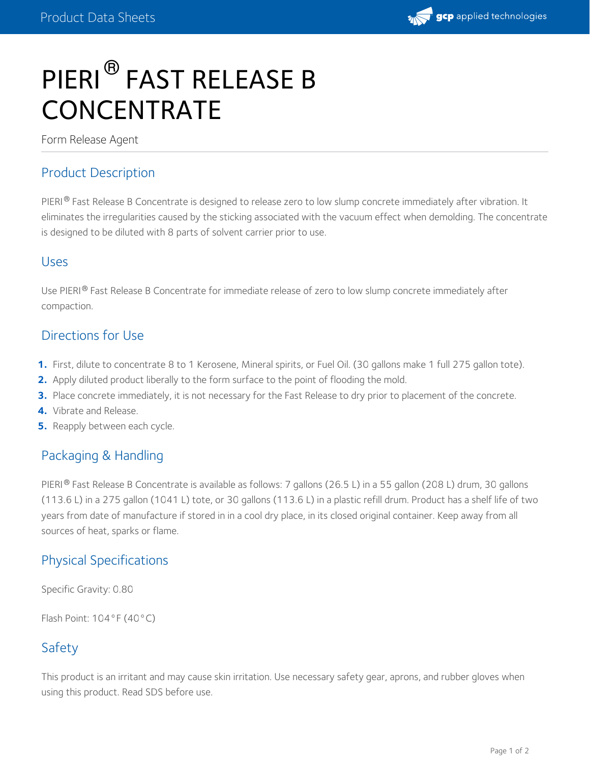

# PIERI<sup>®</sup> FAST RELEASE B **CONCENTRATE**

Form Release Agent

### Product Description

PIERI® Fast Release B Concentrate is designed to release zero to low slump concrete immediately after vibration. It eliminates the irregularities caused by the sticking associated with the vacuum effect when demolding. The concentrate is designed to be diluted with 8 parts of solvent carrier prior to use.

#### Uses

Use PIERI® Fast Release B Concentrate for immediate release of zero to low slump concrete immediately after compaction.

#### Directions for Use

- **1.** First, dilute to concentrate 8 to 1 Kerosene, Mineral spirits, or Fuel Oil. (30 gallons make 1 full 275 gallon tote).
- **2.** Apply diluted product liberally to the form surface to the point of flooding the mold.
- **3.** Place concrete immediately, it is not necessary for the Fast Release to dry prior to placement of the concrete.
- **4.** Vibrate and Release.
- **5.** Reapply between each cycle.

#### Packaging & Handling

PIERI® Fast Release B Concentrate is available as follows: 7 gallons (26.5 L) in a 55 gallon (208 L) drum, 30 gallons (113.6 L) in a 275 gallon (1041 L) tote, or 30 gallons (113.6 L) in a plastic refill drum. Product has a shelf life of two years from date of manufacture if stored in in a cool dry place, in its closed original container. Keep away from all sources of heat, sparks or flame.

# Physical Specifications

Specific Gravity: 0.80

Flash Point: 104°F (40°C)

# Safety

This product is an irritant and may cause skin irritation. Use necessary safety gear, aprons, and rubber gloves when using this product. Read SDS before use.